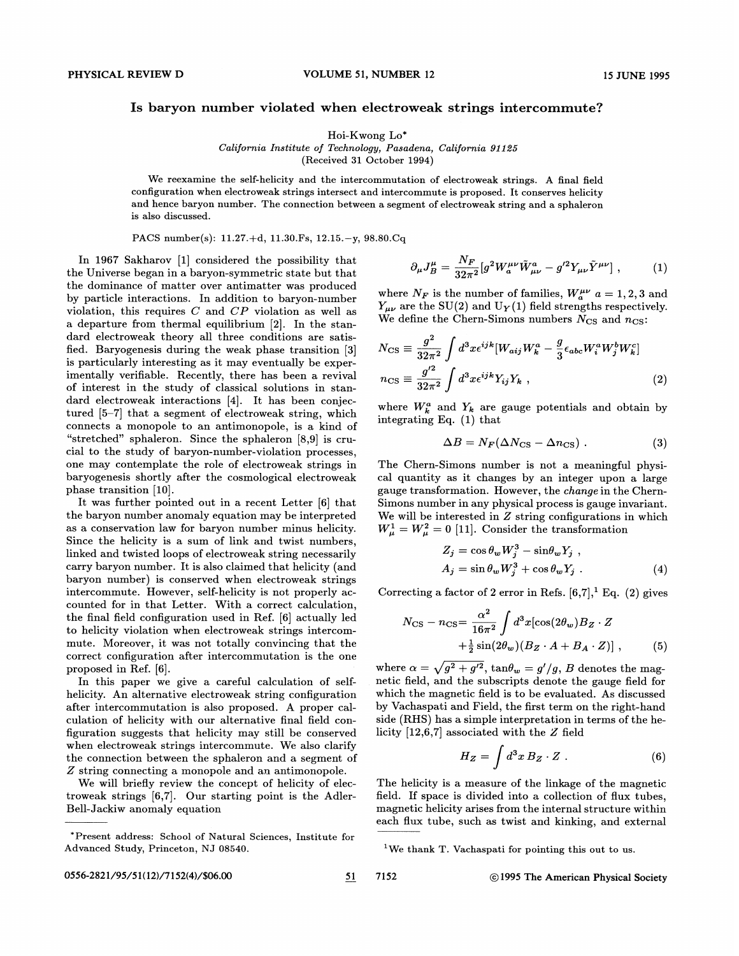## Is baryon number violated when electroweak strings intercommute?

Hoi-Kwong Lo\*

California Institute of Technology, Pasadena, California g1185 (Received 31 October 1994)

We reexamine the self-helicity and the intercommutation of electroweak strings. A final field configuration when electroweak strings intersect and intercommute is proposed. It conserves helicity and hence baryon number. The connection between a segment of electroweak string and a sphaleron is also discussed.

Ŕ

PACS number(s): 11.27.+d, 11.30.Fs, 12.15.—y, 98.80.Cq

In 1967 Sakharov [1] considered the possibility that the Universe began in a baryon-symmetric state but that the dominance of matter over antimatter was produced by particle interactions. In addition to baryon-number violation, this requires  $C$  and  $CP$  violation as well as a departure from thermal equilibrium [2]. In the standard electroweak theory all three conditions are satisfied. Baryogenesis during the weak phase transition [3] is particularly interesting as it may eventually be experimentally verifiable. Recently, there has been a revival of interest in the study of classical solutions in standard electroweak interactions [4]. It has been conjectured [5—7] that a segment of electroweak string, which connects a monopole to an antimonopole, is a kind of "stretched" sphaleron. Since the sphaleron [8,9] is crucial to the study of baryon-number-violation processes, one may contemplate the role of electroweak strings in baryogenesis shortly after the cosmological electroweak phase transition [10].

It was further pointed out in a recent Letter [6] that the baryon number anomaly equation may be interpreted as a conservation law for baryon number minus helicity. Since the helicity is a sum of link and twist numbers, linked and twisted loops of electroweak string necessarily carry baryon number. It is also claimed that helicity (and baryon number) is conserved when electroweak strings intercommute. However, self-helicity is not properly accounted for in that Letter. With a correct calculation, the final field configuration used in Ref. [6] actually led to helicity violation when electroweak strings intercommute. Moreover, it was not totally convincing that the correct configuration after intercommutation is the one proposed in Ref. [6].

In this paper we give a careful calculation of selfhelicity. An alternative electroweak string configuration after intercommutation is also proposed. A proper calculation of helicity with our alternative final field configuration suggests that helicity may still be conserved when electroweak strings intercommute. We also clarify the connection between the sphaleron and a segment of Z string connecting a monopole and an antimonopole.

We will briefly review the concept of helicity of electroweak strings [6,7]. Our starting point is the Adler-Bell-Jackiw anomaly equation

$$
\partial_{\mu}J_{B}^{\mu} = \frac{N_{F}}{32\pi^{2}}[g^{2}W_{a}^{\mu\nu}\tilde{W}_{\mu\nu}^{a} - g^{\prime 2}Y_{\mu\nu}\tilde{Y}^{\mu\nu}], \qquad (1)
$$

where  $N_F$  is the number of families,  $W_a^{\mu\nu}$   $a = 1, 2, 3$  and  $Y_{\mu\nu}$  are the SU(2) and U<sub>Y</sub>(1) field strengths respectively. We define the Chern-Simons numbers  $N_{\rm CS}$  and  $n_{\rm CS}$ :

$$
N_{\rm CS} \equiv \frac{g^2}{32\pi^2} \int d^3x \epsilon^{ijk} [W_{aij}W_k^a - \frac{g}{3} \epsilon_{abc} W_i^a W_j^b W_k^c]
$$
  

$$
n_{\rm CS} \equiv \frac{g'^2}{32\pi^2} \int d^3x \epsilon^{ijk} Y_{ij} Y_k ,
$$
 (2)

where  $W_k^a$  and  $Y_k$  are gauge potentials and obtain by integrating Eq. (1) that

$$
\Delta B = N_F (\Delta N_{\rm CS} - \Delta n_{\rm CS}) \ . \tag{3}
$$

The Chem-Simons number is not a meaningful physical quantity as it changes by an integer upon a large gauge transformation. However, the change in the Chern-Simons number in any physical process is gauge invariant. We will be interested in  $Z$  string configurations in which  $W^1_\mu = W^2_\mu = 0$  [11]. Consider the transformation

$$
Z_j = \cos \theta_w W_j^3 - \sin \theta_w Y_j ,
$$
  
\n
$$
A_j = \sin \theta_w W_j^3 + \cos \theta_w Y_j .
$$
\n(4)

Correcting a factor of 2 error in Refs.  $[6,7],$ <sup>1</sup> Eq. (2) gives

$$
N_{\text{CS}} - n_{\text{CS}} = \frac{\alpha^2}{16\pi^2} \int d^3x [\cos(2\theta_w) B_Z \cdot Z + \frac{1}{2} \sin(2\theta_w) (B_Z \cdot A + B_A \cdot Z)] , \qquad (5)
$$

where  $\alpha = \sqrt{g^2 + g'^2}$ ,  $\tan\theta_w = g'/g$ , B denotes the magnetic field, and the subscripts denote the gauge field for which the magnetic field is to be evaluated. As discussed by Vachaspati and Field, the first term on the right-hand side (RHS) has a simple interpretation in terms of the helicity  $[12,6,7]$  associated with the  $Z$  field

$$
H_Z = \int d^3x \, B_Z \cdot Z \ . \tag{6}
$$

The helicity is a measure of the linkage of the magnetic field. If space is divided into a collection of flux tubes, magnetic helicity arises from the internal structure within each flux tube, such as twist and kinking, and external

<sup>\*</sup>Present address: School of Natural Sciences, Institute for Advanced Study, Princeton, NJ 08540.

We thank T. Vachaspati for pointing this out to us.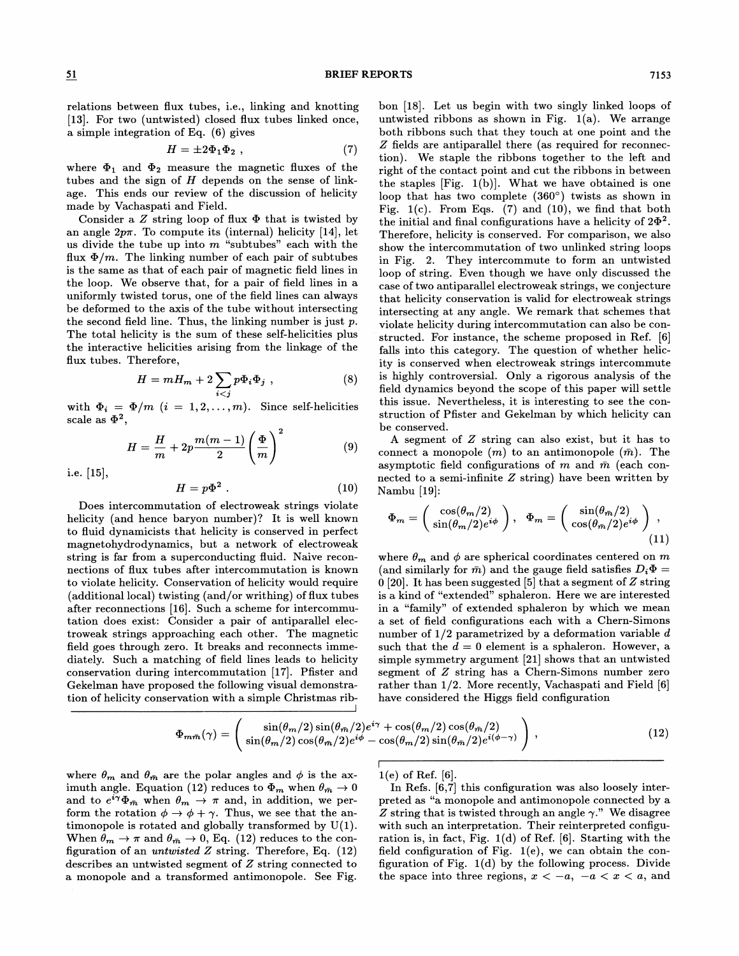relations between Hux tubes, i.e., linking and knotting [13]. For two (untwisted) closed flux tubes linked once, a simple integration of Eq. (6) gives

$$
H = \pm 2\Phi_1\Phi_2 \tag{7}
$$

where  $\Phi_1$  and  $\Phi_2$  measure the magnetic fluxes of the tubes and the sign of  $H$  depends on the sense of linkage. This ends our review of the discussion of helicity made by Vachaspati and Field.

Consider a  $Z$  string loop of flux  $\Phi$  that is twisted by an angle  $2p\pi$ . To compute its (internal) helicity [14], let us divide the tube up into  $m$  "subtubes" each with the flux  $\Phi/m$ . The linking number of each pair of subtubes is the same as that of each pair of magnetic field lines in the loop. We observe that, for a pair of field lines in a uniformly twisted torus, one of the field lines can always be deformed to the axis of the tube without intersecting the second field line. Thus, the linking number is just  $p$ . The total helicity is the sum of these self-helicities plus the interactive helicities arising from the linkage of the Hux tubes. Therefore,

$$
H = mH_m + 2\sum_{i < j} p\Phi_i \Phi_j \tag{8}
$$

with  $\Phi_i = \Phi/m$   $(i = 1, 2, ..., m)$ . Since self-helicities scale as  $\Phi^2$ ,

$$
H = \frac{H}{m} + 2p \frac{m(m-1)}{2} \left(\frac{\Phi}{m}\right)^2 \tag{9}
$$

i.e. [15],

$$
H = p\Phi^2 \ . \tag{10}
$$

Does intercommutation of electroweak strings violate helicity (and hence baryon number)? It is well known to fluid dynamicists that helicity is conserved in perfect magnetohydrodynamics, but a network of electroweak string is far from a superconducting fluid. Naive reconnections of Hux tubes after intercommutation is known to violate helicity. Conservation of helicity would require (additional local) twisting (and/or writhing) of flux tubes after reconnections [16]. Such a scheme for intercommutation does exist: Consider a pair of antiparallel electroweak strings approaching each other. The magnetic field goes through zero. It breaks and reconnects immediately. Such a matching of field lines leads to helicity conservation during intercommutation [17]. Pfister and Gekelman have proposed the following visual demonstration of helicity conservation with a simple Christmas ribbon [18]. Let us begin with two singly linked loops of untwisted ribbons as shown in Fig.  $1(a)$ . We arrange both ribbons such that they touch at one point and the Z fields are antiparallel there (as required for reconnection). We staple the ribbons together to the left and right of the contact point and cut the ribbons in between the staples  $[Fig. 1(b)]$ . What we have obtained is one loop that has two complete (360') twists as shown in Fig.  $1(c)$ . From Eqs. (7) and (10), we find that both the initial and final configurations have a helicity of  $2\Phi^2$ . Therefore, helicity is conserved. For comparison, we also show the intercommutation of two unlinked string loops in Fig. 2. They intercommute to form an untwisted loop of string. Even though we have only discussed the case of two antiparallel electroweak strings, we conjecture that helicity conservation is valid for electroweak strings intersecting at any angle. We remark that schemes that violate helicity during intercommutation can also be constructed. For instance, the scheme proposed in Ref. [6] falls into this category. The question of whether helicity is conserved when electroweak strings intercommute is highly controversial. Only a rigorous analysis of the field dynamics beyond the scope of this paper will settle this issue. Nevertheless, it is interesting to see the construction of Pfister and Gekelman by which helicity can be conserved.

A segment of Z string can also exist, but it has to connect a monopole  $(m)$  to an antimonopole  $(\bar{m})$ . The asymptotic field configurations of m and  $\bar{m}$  (each connected to a semi-infinite  $Z$  string) have been written by Nambu [19]:

$$
\Phi_m = \begin{pmatrix} \cos(\theta_m/2) \\ \sin(\theta_m/2)e^{i\phi} \end{pmatrix}, \quad \Phi_m = \begin{pmatrix} \sin(\theta_m/2) \\ \cos(\theta_m/2)e^{i\phi} \end{pmatrix},
$$
\n(11)

where  $\theta_m$  and  $\phi$  are spherical coordinates centered on m (and similarly for  $\bar{m}$ ) and the gauge field satisfies  $D_i\Phi =$ 0 [20]. It has been suggested [5] that a segment of  $Z$  string is a kind of "extended" sphaleron. Here we are interested in a "family" of extended sphaleron by which we mean a set of field configurations each with a Chem-Simons number of  $1/2$  parametrized by a deformation variable d such that the  $d = 0$  element is a sphaleron. However, a simple symmetry argument [21] shows that an untwisted segment of Z string has a Chem-Simons number zero rather than 1/2. More recently, Vachaspati and Field [6] have considered the Higgs field configuration

$$
\Phi_{m\bar{m}}(\gamma) = \begin{pmatrix} \sin(\theta_m/2)\sin(\theta_m/2)e^{i\gamma} + \cos(\theta_m/2)\cos(\theta_m/2) \\ \sin(\theta_m/2)\cos(\theta_m/2)e^{i\phi} - \cos(\theta_m/2)\sin(\theta_m/2)e^{i(\phi-\gamma)} \end{pmatrix},
$$
\n(12)

where  $\theta_m$  and  $\theta_{\bar{m}}$  are the polar angles and  $\phi$  is the aximuth angle. Equation (12) reduces to  $\Phi_m$  when  $\theta_{\bar{m}} \to 0$ and to  $e^{i\gamma}\Phi_{\bar{m}}$  when  $\theta_m \to \pi$  and, in addition, we perform the rotation  $\phi \to \phi + \gamma$ . Thus, we see that the antimonopole is rotated and globally transformed by  $U(1)$ . When  $\theta_m \to \pi$  and  $\theta_{\bar{m}} \to 0$ , Eq. (12) reduces to the configuration of an *untwisted*  $Z$  string. Therefore, Eq.  $(12)$ describes an untwisted segment of Z string connected to a monopole and a transformed antimonopole. See Fig.

 $1(e)$  of Ref. [6].

In Refs. [6,7] this configuration was also loosely interpreted as "a monopole and antimonopole connected by a Z string that is twisted through an angle  $\gamma$ ." We disagree with such an interpretation. Their reinterpreted configuration is, in fact, Fig. 1(d) of Ref. [6]. Starting with the field configuration of Fig. 1(e), we can obtain the configuration of Fig. 1(d) by the following process. Divide the space into three regions,  $x < -a$ ,  $-a < x < a$ , and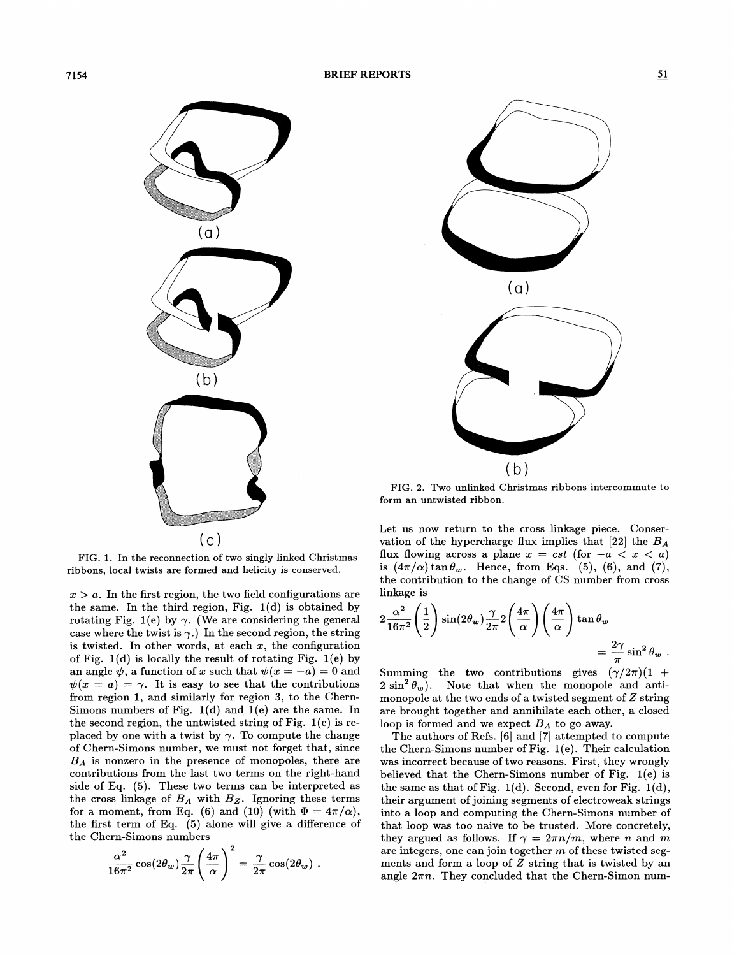

FIG. 1. In the reconnection of two singly linked Christmas ribbons, local twists are formed and helicity is conserved.

 $x > a$ . In the first region, the two field configurations are the same. In the third region, Fig.  $1(d)$  is obtained by rotating Fig. 1(e) by  $\gamma$ . (We are considering the general  $\cose$  where the twist is  $\gamma.$  In the second region, the string is twisted. In other words, at each  $x$ , the configuration of Fig. 1(d) is locally the result of rotating Fig. 1(e) by an angle  $\psi$ , a function of x such that  $\psi(x = -a) = 0$  and  $\psi(x = a) = \gamma$ . It is easy to see that the contributions from region 1, and similarly for region 3, to the Chern-Simons numbers of Fig.  $1(d)$  and  $1(e)$  are the same. In the second region, the untwisted string of Fig. 1(e) is replaced by one with a twist by  $\gamma$ . To compute the change of Chem-Simons number, we must not forget that, since  $B_A$  is nonzero in the presence of monopoles, there are contributions from the last two terms on the right-hand side of Eq. (5). These two terms can be interpreted as the cross linkage of  $B_A$  with  $B_Z$ . Ignoring these terms for a moment, from Eq. (6) and (10) (with  $\Phi = 4\pi/\alpha$ ), the first term of Eq. (5) alone will give a difference of the Chem-Simons numbers

$$
\frac{\alpha^2}{16\pi^2} \cos(2\theta_w) \frac{\gamma}{2\pi} \left(\frac{4\pi}{\alpha}\right)^2 = \frac{\gamma}{2\pi} \cos(2\theta_w) .
$$



FIG. 2. Two unlinked Christmas ribbons intercommute to form an untwisted ribbon.

Let us now return to the cross linkage piece. Conservation of the hypercharge flux implies that [22] the  $B_A$ flux flowing across a plane  $x = cst$  (for  $-a < x < a$ ) is  $(4\pi/\alpha)\tan\theta_w$ . Hence, from Eqs. (5), (6), and (7), the contribution to the change of CS number from cross linkage is

$$
2\frac{\alpha^2}{16\pi^2} \left(\frac{1}{2}\right) \sin(2\theta_w) \frac{\gamma}{2\pi} 2\left(\frac{4\pi}{\alpha}\right) \left(\frac{4\pi}{\alpha}\right) \tan \theta_w
$$
  
=  $\frac{2\gamma}{\pi} \sin^2 \theta_w$ .

Summing the two contributions gives  $(\gamma/2\pi)$  (1 +  $2 \sin^2 \theta_w$ ). Note that when the monopole and antimonopole at the two ends of a twisted segment of  $Z$  string are brought together and annihilate each other, a closed loop is formed and we expect  $B_A$  to go away.

The authors of Refs. [6] and [7] attempted to compute the Chem-Simons number of Fig. 1(e). Their calculation was incorrect because of two reasons. First, they wrongly believed that the Chem-Simons number of Fig. 1(e) is the same as that of Fig.  $1(d)$ . Second, even for Fig.  $1(d)$ , their argument of joining segments of electroweak strings into a loop and computing the Chem-Simons number of that loop was too naive to be trusted. More concretely, they argued as follows. If  $\gamma = 2\pi n/m$ , where n and m are integers, one can join together m of these twisted segments and form a loop of  $Z$  string that is twisted by an angle  $2\pi n$ . They concluded that the Chern-Simon num